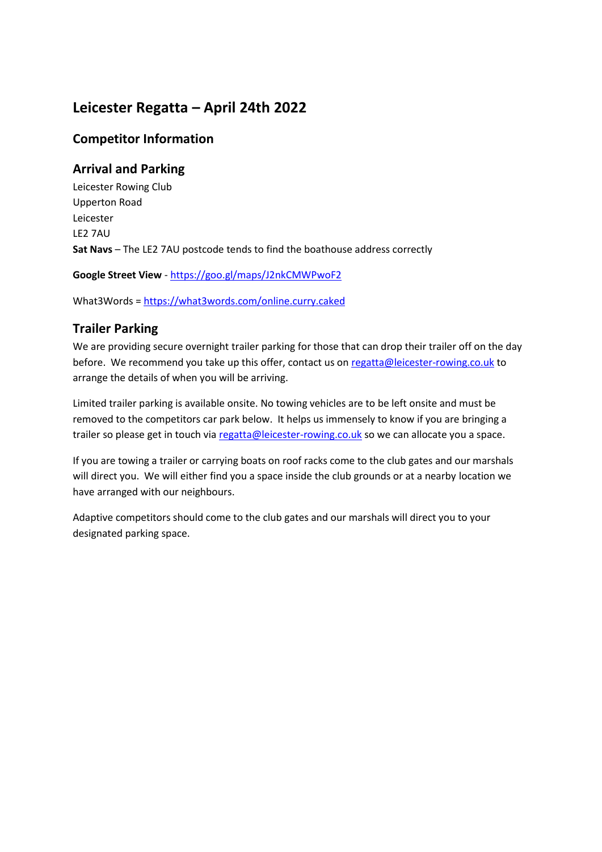# **Leicester Regatta – April 24th 2022**

### **Competitor Information**

## **Arrival and Parking**

Leicester Rowing Club Upperton Road Leicester LE2 7AU **Sat Navs** – The LE2 7AU postcode tends to find the boathouse address correctly

**Google Street View** - <https://goo.gl/maps/J2nkCMWPwoF2>

What3Words =<https://what3words.com/online.curry.caked>

## **Trailer Parking**

We are providing secure overnight trailer parking for those that can drop their trailer off on the day before. We recommend you take up this offer, contact us o[n regatta@leicester-rowing.co.uk](mailto:regatta@leicester-rowing.co.uk) to arrange the details of when you will be arriving.

Limited trailer parking is available onsite. No towing vehicles are to be left onsite and must be removed to the competitors car park below. It helps us immensely to know if you are bringing a trailer so please get in touch vi[a regatta@leicester-rowing.co.uk](mailto:regatta@leicester-rowing.co.uk) so we can allocate you a space.

If you are towing a trailer or carrying boats on roof racks come to the club gates and our marshals will direct you. We will either find you a space inside the club grounds or at a nearby location we have arranged with our neighbours.

Adaptive competitors should come to the club gates and our marshals will direct you to your designated parking space.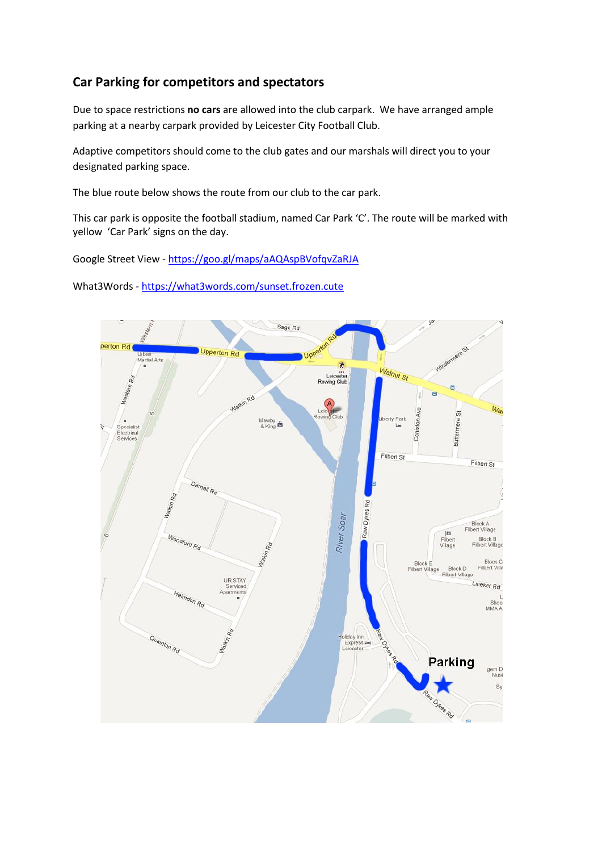### **Car Parking for competitors and spectators**

Due to space restrictions **no cars** are allowed into the club carpark. We have arranged ample parking at a nearby carpark provided by Leicester City Football Club.

Adaptive competitors should come to the club gates and our marshals will direct you to your designated parking space.

The blue route below shows the route from our club to the car park.

This car park is opposite the football stadium, named Car Park 'C'. The route will be marked with yellow 'Car Park' signs on the day.

Google Street View - <https://goo.gl/maps/aAQAspBVofqvZaRJA>

What3Words - <https://what3words.com/sunset.frozen.cute>

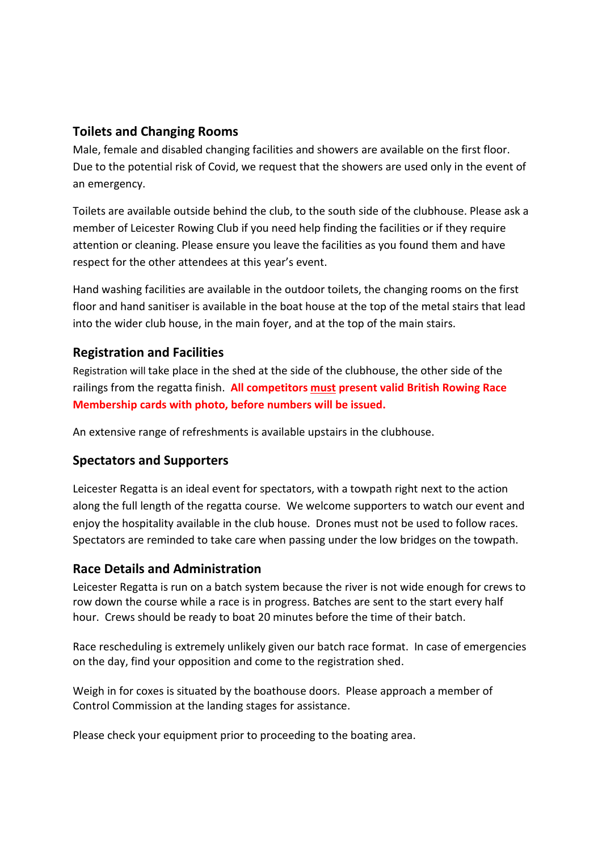### **Toilets and Changing Rooms**

Male, female and disabled changing facilities and showers are available on the first floor. Due to the potential risk of Covid, we request that the showers are used only in the event of an emergency.

Toilets are available outside behind the club, to the south side of the clubhouse. Please ask a member of Leicester Rowing Club if you need help finding the facilities or if they require attention or cleaning. Please ensure you leave the facilities as you found them and have respect for the other attendees at this year's event.

Hand washing facilities are available in the outdoor toilets, the changing rooms on the first floor and hand sanitiser is available in the boat house at the top of the metal stairs that lead into the wider club house, in the main foyer, and at the top of the main stairs.

### **Registration and Facilities**

Registration will take place in the shed at the side of the clubhouse, the other side of the railings from the regatta finish. **All competitors must present valid British Rowing Race Membership cards with photo, before numbers will be issued.**

An extensive range of refreshments is available upstairs in the clubhouse.

#### **Spectators and Supporters**

Leicester Regatta is an ideal event for spectators, with a towpath right next to the action along the full length of the regatta course. We welcome supporters to watch our event and enjoy the hospitality available in the club house. Drones must not be used to follow races. Spectators are reminded to take care when passing under the low bridges on the towpath.

#### **Race Details and Administration**

Leicester Regatta is run on a batch system because the river is not wide enough for crews to row down the course while a race is in progress. Batches are sent to the start every half hour. Crews should be ready to boat 20 minutes before the time of their batch.

Race rescheduling is extremely unlikely given our batch race format. In case of emergencies on the day, find your opposition and come to the registration shed.

Weigh in for coxes is situated by the boathouse doors. Please approach a member of Control Commission at the landing stages for assistance.

Please check your equipment prior to proceeding to the boating area.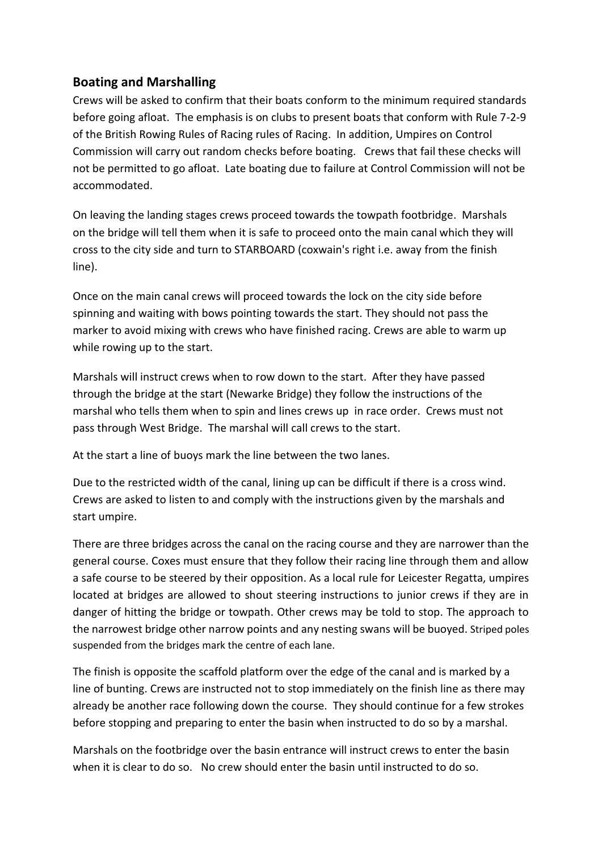### **Boating and Marshalling**

Crews will be asked to confirm that their boats conform to the minimum required standards before going afloat. The emphasis is on clubs to present boats that conform with Rule 7-2-9 of the British Rowing Rules of Racing rules of Racing. In addition, Umpires on Control Commission will carry out random checks before boating. Crews that fail these checks will not be permitted to go afloat. Late boating due to failure at Control Commission will not be accommodated.

On leaving the landing stages crews proceed towards the towpath footbridge. Marshals on the bridge will tell them when it is safe to proceed onto the main canal which they will cross to the city side and turn to STARBOARD (coxwain's right i.e. away from the finish line).

Once on the main canal crews will proceed towards the lock on the city side before spinning and waiting with bows pointing towards the start. They should not pass the marker to avoid mixing with crews who have finished racing. Crews are able to warm up while rowing up to the start.

Marshals will instruct crews when to row down to the start. After they have passed through the bridge at the start (Newarke Bridge) they follow the instructions of the marshal who tells them when to spin and lines crews up in race order. Crews must not pass through West Bridge. The marshal will call crews to the start.

At the start a line of buoys mark the line between the two lanes.

Due to the restricted width of the canal, lining up can be difficult if there is a cross wind. Crews are asked to listen to and comply with the instructions given by the marshals and start umpire.

There are three bridges across the canal on the racing course and they are narrower than the general course. Coxes must ensure that they follow their racing line through them and allow a safe course to be steered by their opposition. As a local rule for Leicester Regatta, umpires located at bridges are allowed to shout steering instructions to junior crews if they are in danger of hitting the bridge or towpath. Other crews may be told to stop. The approach to the narrowest bridge other narrow points and any nesting swans will be buoyed. Striped poles suspended from the bridges mark the centre of each lane.

The finish is opposite the scaffold platform over the edge of the canal and is marked by a line of bunting. Crews are instructed not to stop immediately on the finish line as there may already be another race following down the course. They should continue for a few strokes before stopping and preparing to enter the basin when instructed to do so by a marshal.

Marshals on the footbridge over the basin entrance will instruct crews to enter the basin when it is clear to do so. No crew should enter the basin until instructed to do so.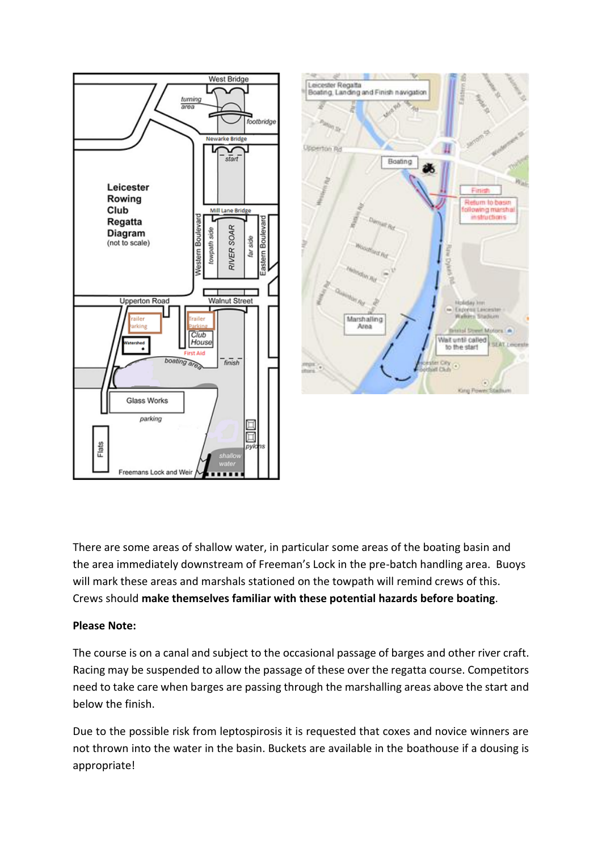

There are some areas of shallow water, in particular some areas of the boating basin and the area immediately downstream of Freeman's Lock in the pre-batch handling area. Buoys will mark these areas and marshals stationed on the towpath will remind crews of this. Crews should **make themselves familiar with these potential hazards before boating**.

#### **Please Note:**

The course is on a canal and subject to the occasional passage of barges and other river craft. Racing may be suspended to allow the passage of these over the regatta course. Competitors need to take care when barges are passing through the marshalling areas above the start and below the finish.

Due to the possible risk from leptospirosis it is requested that coxes and novice winners are not thrown into the water in the basin. Buckets are available in the boathouse if a dousing is appropriate!